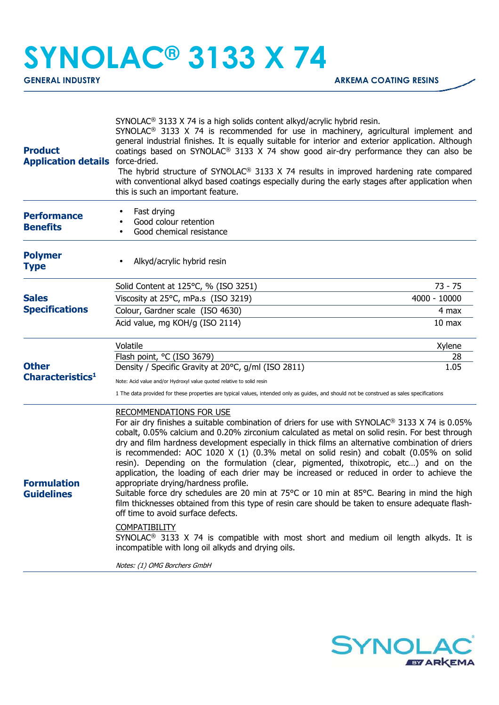## **SYNOLAC® 3133 X 74**

| <b>Product</b><br><b>Application details</b> force-dried. | SYNOLAC <sup>®</sup> 3133 X 74 is a high solids content alkyd/acrylic hybrid resin.<br>SYNOLAC <sup>®</sup> 3133 X 74 is recommended for use in machinery, agricultural implement and<br>general industrial finishes. It is equally suitable for interior and exterior application. Although<br>coatings based on SYNOLAC <sup>®</sup> 3133 X 74 show good air-dry performance they can also be<br>The hybrid structure of SYNOLAC <sup>®</sup> 3133 X 74 results in improved hardening rate compared<br>with conventional alkyd based coatings especially during the early stages after application when<br>this is such an important feature.                                                                                                                                                                                                                                                                                                                                                                                                                                                                                        |                   |  |
|-----------------------------------------------------------|----------------------------------------------------------------------------------------------------------------------------------------------------------------------------------------------------------------------------------------------------------------------------------------------------------------------------------------------------------------------------------------------------------------------------------------------------------------------------------------------------------------------------------------------------------------------------------------------------------------------------------------------------------------------------------------------------------------------------------------------------------------------------------------------------------------------------------------------------------------------------------------------------------------------------------------------------------------------------------------------------------------------------------------------------------------------------------------------------------------------------------------|-------------------|--|
| <b>Performance</b><br><b>Benefits</b>                     | Fast drying<br>Good colour retention<br>Good chemical resistance                                                                                                                                                                                                                                                                                                                                                                                                                                                                                                                                                                                                                                                                                                                                                                                                                                                                                                                                                                                                                                                                       |                   |  |
| <b>Polymer</b><br><b>Type</b>                             | Alkyd/acrylic hybrid resin                                                                                                                                                                                                                                                                                                                                                                                                                                                                                                                                                                                                                                                                                                                                                                                                                                                                                                                                                                                                                                                                                                             |                   |  |
|                                                           | Solid Content at 125°C, % (ISO 3251)                                                                                                                                                                                                                                                                                                                                                                                                                                                                                                                                                                                                                                                                                                                                                                                                                                                                                                                                                                                                                                                                                                   | $73 - 75$         |  |
| <b>Sales</b><br><b>Specifications</b>                     | Viscosity at 25°C, mPa.s (ISO 3219)                                                                                                                                                                                                                                                                                                                                                                                                                                                                                                                                                                                                                                                                                                                                                                                                                                                                                                                                                                                                                                                                                                    | 4000 - 10000      |  |
|                                                           | Colour, Gardner scale (ISO 4630)                                                                                                                                                                                                                                                                                                                                                                                                                                                                                                                                                                                                                                                                                                                                                                                                                                                                                                                                                                                                                                                                                                       | 4 max             |  |
| <b>Other</b><br>Characteristics <sup>1</sup>              | Acid value, mg KOH/g (ISO 2114)                                                                                                                                                                                                                                                                                                                                                                                                                                                                                                                                                                                                                                                                                                                                                                                                                                                                                                                                                                                                                                                                                                        | 10 <sub>max</sub> |  |
|                                                           | Volatile                                                                                                                                                                                                                                                                                                                                                                                                                                                                                                                                                                                                                                                                                                                                                                                                                                                                                                                                                                                                                                                                                                                               | Xylene            |  |
|                                                           | Flash point, °C (ISO 3679)                                                                                                                                                                                                                                                                                                                                                                                                                                                                                                                                                                                                                                                                                                                                                                                                                                                                                                                                                                                                                                                                                                             | 28                |  |
|                                                           | Density / Specific Gravity at 20°C, g/ml (ISO 2811)                                                                                                                                                                                                                                                                                                                                                                                                                                                                                                                                                                                                                                                                                                                                                                                                                                                                                                                                                                                                                                                                                    | 1.05              |  |
|                                                           | Note: Acid value and/or Hydroxyl value quoted relative to solid resin<br>1 The data provided for these properties are typical values, intended only as guides, and should not be construed as sales specifications                                                                                                                                                                                                                                                                                                                                                                                                                                                                                                                                                                                                                                                                                                                                                                                                                                                                                                                     |                   |  |
| <b>Formulation</b><br><b>Guidelines</b>                   | <b>RECOMMENDATIONS FOR USE</b><br>For air dry finishes a suitable combination of driers for use with SYNOLAC <sup>®</sup> 3133 X 74 is 0.05%<br>cobalt, 0.05% calcium and 0.20% zirconium calculated as metal on solid resin. For best through<br>dry and film hardness development especially in thick films an alternative combination of driers<br>is recommended: AOC 1020 $X$ (1) (0.3% metal on solid resin) and cobalt (0.05% on solid<br>resin). Depending on the formulation (clear, pigmented, thixotropic, etc) and on the<br>application, the loading of each drier may be increased or reduced in order to achieve the<br>appropriate drying/hardness profile.<br>Suitable force dry schedules are 20 min at 75°C or 10 min at 85°C. Bearing in mind the high<br>film thicknesses obtained from this type of resin care should be taken to ensure adequate flash-<br>off time to avoid surface defects.<br><b>COMPATIBILITY</b><br>SYNOLAC <sup>®</sup> 3133 X 74 is compatible with most short and medium oil length alkyds. It is<br>incompatible with long oil alkyds and drying oils.<br>Notes: (1) OMG Borchers GmbH |                   |  |
|                                                           |                                                                                                                                                                                                                                                                                                                                                                                                                                                                                                                                                                                                                                                                                                                                                                                                                                                                                                                                                                                                                                                                                                                                        |                   |  |